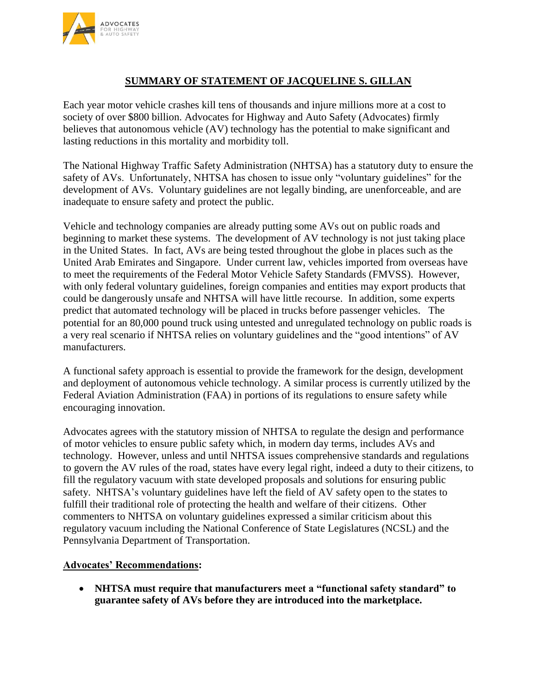

## **SUMMARY OF STATEMENT OF JACQUELINE S. GILLAN**

Each year motor vehicle crashes kill tens of thousands and injure millions more at a cost to society of over \$800 billion. Advocates for Highway and Auto Safety (Advocates) firmly believes that autonomous vehicle (AV) technology has the potential to make significant and lasting reductions in this mortality and morbidity toll.

The National Highway Traffic Safety Administration (NHTSA) has a statutory duty to ensure the safety of AVs. Unfortunately, NHTSA has chosen to issue only "voluntary guidelines" for the development of AVs. Voluntary guidelines are not legally binding, are unenforceable, and are inadequate to ensure safety and protect the public.

Vehicle and technology companies are already putting some AVs out on public roads and beginning to market these systems. The development of AV technology is not just taking place in the United States. In fact, AVs are being tested throughout the globe in places such as the United Arab Emirates and Singapore. Under current law, vehicles imported from overseas have to meet the requirements of the Federal Motor Vehicle Safety Standards (FMVSS). However, with only federal voluntary guidelines, foreign companies and entities may export products that could be dangerously unsafe and NHTSA will have little recourse. In addition, some experts predict that automated technology will be placed in trucks before passenger vehicles. The potential for an 80,000 pound truck using untested and unregulated technology on public roads is a very real scenario if NHTSA relies on voluntary guidelines and the "good intentions" of AV manufacturers.

A functional safety approach is essential to provide the framework for the design, development and deployment of autonomous vehicle technology. A similar process is currently utilized by the Federal Aviation Administration (FAA) in portions of its regulations to ensure safety while encouraging innovation.

Advocates agrees with the statutory mission of NHTSA to regulate the design and performance of motor vehicles to ensure public safety which, in modern day terms, includes AVs and technology. However, unless and until NHTSA issues comprehensive standards and regulations to govern the AV rules of the road, states have every legal right, indeed a duty to their citizens, to fill the regulatory vacuum with state developed proposals and solutions for ensuring public safety. NHTSA's voluntary guidelines have left the field of AV safety open to the states to fulfill their traditional role of protecting the health and welfare of their citizens. Other commenters to NHTSA on voluntary guidelines expressed a similar criticism about this regulatory vacuum including the National Conference of State Legislatures (NCSL) and the Pennsylvania Department of Transportation.

## **Advocates' Recommendations:**

 **NHTSA must require that manufacturers meet a "functional safety standard" to guarantee safety of AVs before they are introduced into the marketplace.**